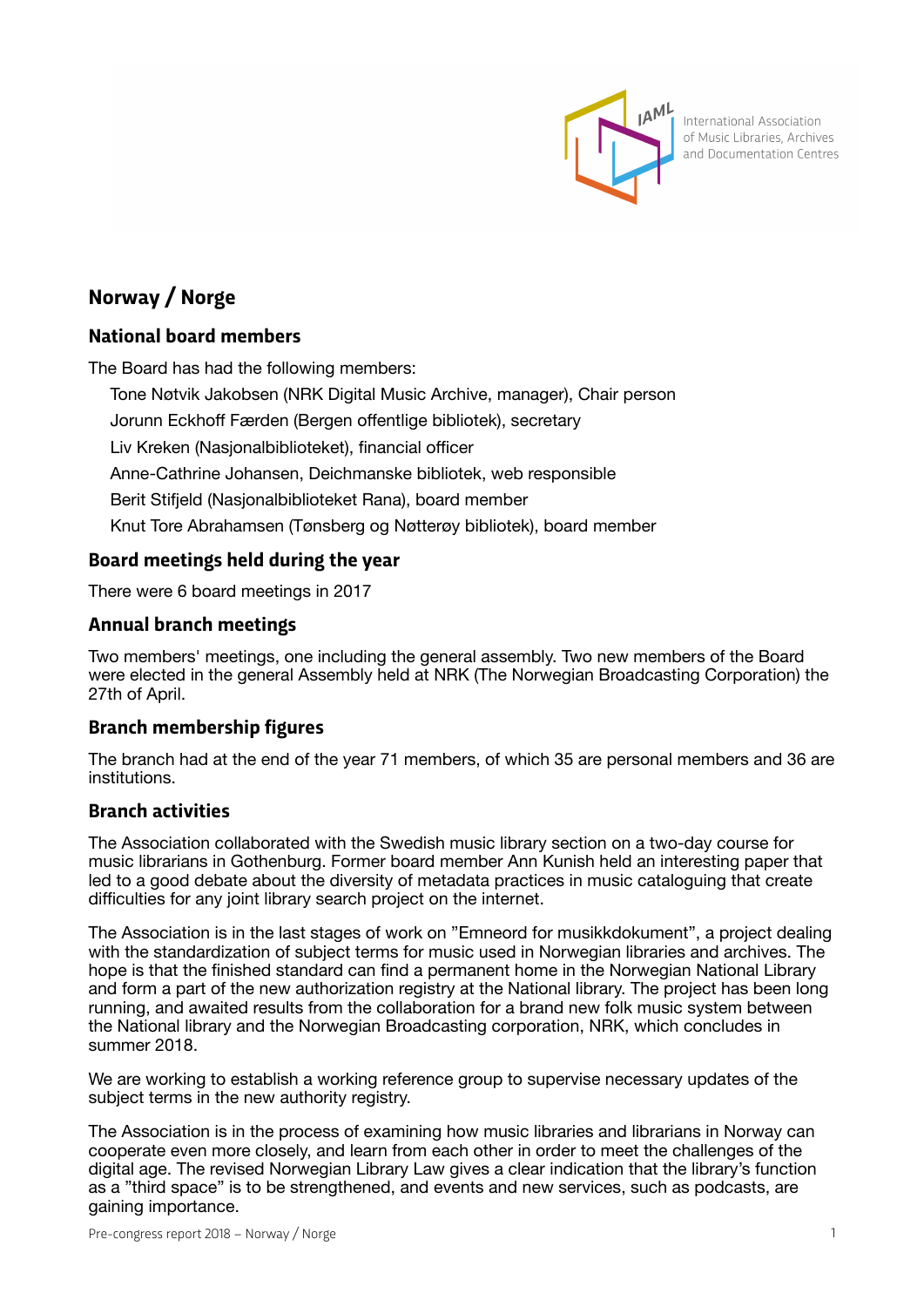

International Association of Music Libraries, Archives and Documentation Centres

# **Norway / Norge**

# **National board members**

The Board has had the following members:

Tone Nøtvik Jakobsen (NRK Digital Music Archive, manager), Chair person Jorunn Eckhoff Færden (Bergen offentlige bibliotek), secretary Liv Kreken (Nasjonalbiblioteket), financial officer Anne-Cathrine Johansen, Deichmanske bibliotek, web responsible Berit Stifjeld (Nasjonalbiblioteket Rana), board member Knut Tore Abrahamsen (Tønsberg og Nøtterøy bibliotek), board member

# **Board meetings held during the year**

There were 6 board meetings in 2017

## **Annual branch meetings**

Two members' meetings, one including the general assembly. Two new members of the Board were elected in the general Assembly held at NRK (The Norwegian Broadcasting Corporation) the 27th of April.

# **Branch membership figures**

The branch had at the end of the year 71 members, of which 35 are personal members and 36 are institutions.

## **Branch activities**

The Association collaborated with the Swedish music library section on a two-day course for music librarians in Gothenburg. Former board member Ann Kunish held an interesting paper that led to a good debate about the diversity of metadata practices in music cataloguing that create difficulties for any joint library search project on the internet.

The Association is in the last stages of work on "Emneord for musikkdokument", a project dealing with the standardization of subject terms for music used in Norwegian libraries and archives. The hope is that the finished standard can find a permanent home in the Norwegian National Library and form a part of the new authorization registry at the National library. The project has been long running, and awaited results from the collaboration for a brand new folk music system between the National library and the Norwegian Broadcasting corporation, NRK, which concludes in summer 2018.

We are working to establish a working reference group to supervise necessary updates of the subject terms in the new authority registry.

The Association is in the process of examining how music libraries and librarians in Norway can cooperate even more closely, and learn from each other in order to meet the challenges of the digital age. The revised Norwegian Library Law gives a clear indication that the library's function as a "third space" is to be strengthened, and events and new services, such as podcasts, are gaining importance.